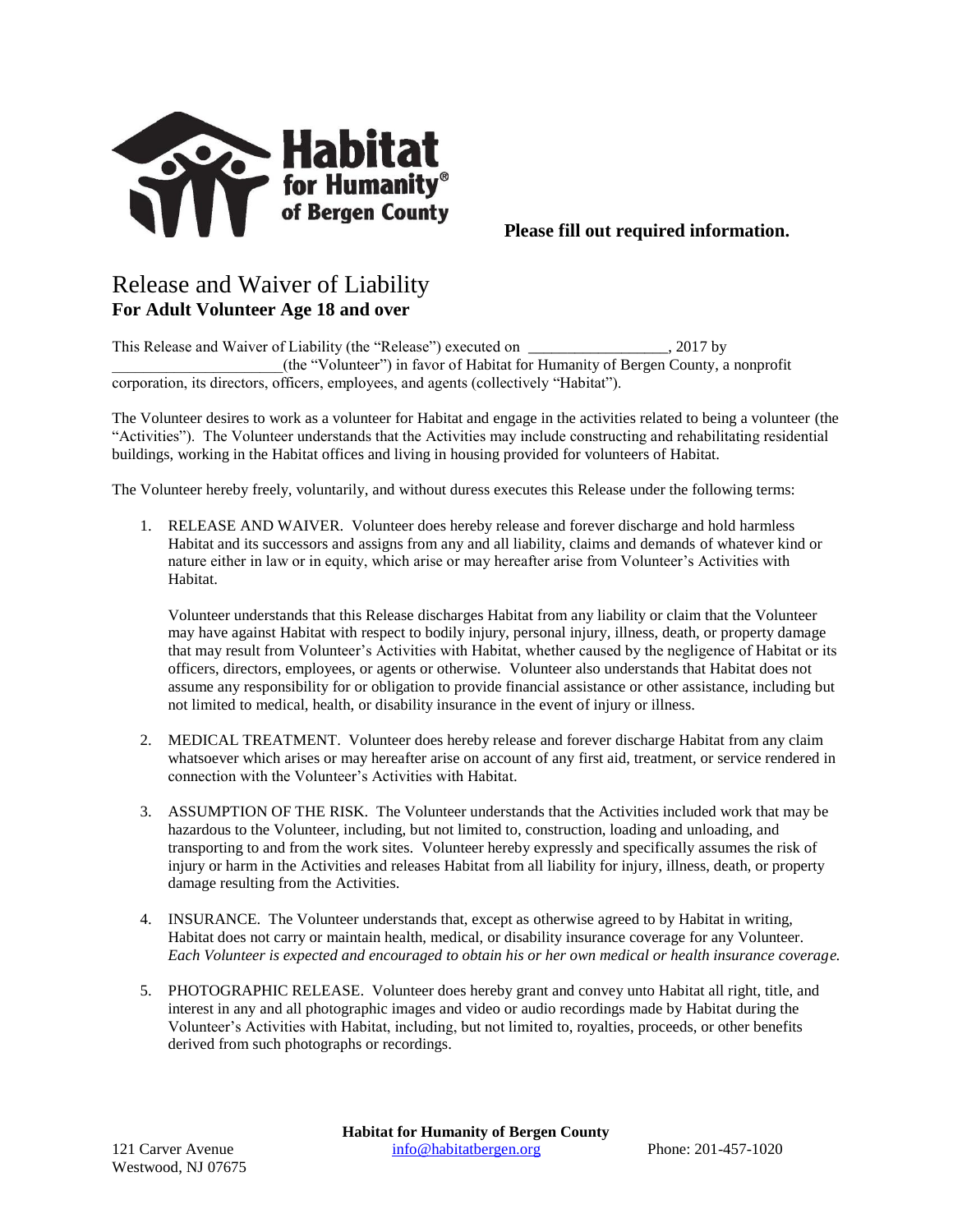

## Release and Waiver of Liability **For Adult Volunteer Age 18 and over**

This Release and Waiver of Liability (the "Release") executed on \_\_\_\_\_\_\_\_\_\_\_\_\_\_\_\_\_\_, 2017 by \_\_\_\_\_\_\_\_\_\_\_\_\_\_\_\_\_\_\_\_\_\_(the "Volunteer") in favor of Habitat for Humanity of Bergen County, a nonprofit corporation, its directors, officers, employees, and agents (collectively "Habitat").

The Volunteer desires to work as a volunteer for Habitat and engage in the activities related to being a volunteer (the "Activities"). The Volunteer understands that the Activities may include constructing and rehabilitating residential buildings, working in the Habitat offices and living in housing provided for volunteers of Habitat.

The Volunteer hereby freely, voluntarily, and without duress executes this Release under the following terms:

1. RELEASE AND WAIVER. Volunteer does hereby release and forever discharge and hold harmless Habitat and its successors and assigns from any and all liability, claims and demands of whatever kind or nature either in law or in equity, which arise or may hereafter arise from Volunteer's Activities with Habitat.

Volunteer understands that this Release discharges Habitat from any liability or claim that the Volunteer may have against Habitat with respect to bodily injury, personal injury, illness, death, or property damage that may result from Volunteer's Activities with Habitat, whether caused by the negligence of Habitat or its officers, directors, employees, or agents or otherwise. Volunteer also understands that Habitat does not assume any responsibility for or obligation to provide financial assistance or other assistance, including but not limited to medical, health, or disability insurance in the event of injury or illness.

- 2. MEDICAL TREATMENT. Volunteer does hereby release and forever discharge Habitat from any claim whatsoever which arises or may hereafter arise on account of any first aid, treatment, or service rendered in connection with the Volunteer's Activities with Habitat.
- 3. ASSUMPTION OF THE RISK. The Volunteer understands that the Activities included work that may be hazardous to the Volunteer, including, but not limited to, construction, loading and unloading, and transporting to and from the work sites. Volunteer hereby expressly and specifically assumes the risk of injury or harm in the Activities and releases Habitat from all liability for injury, illness, death, or property damage resulting from the Activities.
- 4. INSURANCE. The Volunteer understands that, except as otherwise agreed to by Habitat in writing, Habitat does not carry or maintain health, medical, or disability insurance coverage for any Volunteer. *Each Volunteer is expected and encouraged to obtain his or her own medical or health insurance coverage.*
- 5. PHOTOGRAPHIC RELEASE. Volunteer does hereby grant and convey unto Habitat all right, title, and interest in any and all photographic images and video or audio recordings made by Habitat during the Volunteer's Activities with Habitat, including, but not limited to, royalties, proceeds, or other benefits derived from such photographs or recordings.